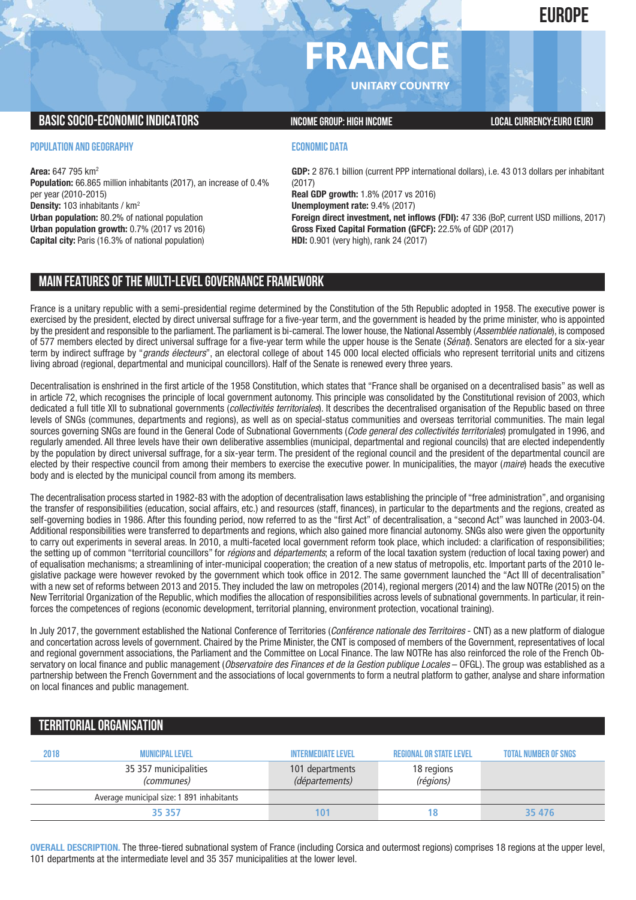**EUROPE**

# **FRANCE**

**UNITARY COUNTRY**

### **BASIC SOCIO-ECONOMIC INDICATORS** INCOME GROUP: HIGH INCOME COME **INCOME**

### **POPULATION AND GEOGRAPHY**

**Area:** 647 795 km2 **Population:** 66.865 million inhabitants (2017), an increase of 0.4% per year (2010-2015) **Density:** 103 inhabitants / km2 **Urban population:** 80.2% of national population **Urban population growth:** 0.7% (2017 vs 2016) **Capital city:** Paris (16.3% of national population)

### **ECONOMIC DATA**

**GDP:** 2 876.1 billion (current PPP international dollars), i.e. 43 013 dollars per inhabitant (2017) **Real GDP growth:** 1.8% (2017 vs 2016) **Unemployment rate:** 9.4% (2017) **Foreign direct investment, net inflows (FDI):** 47 336 (BoP, current USD millions, 2017) **Gross Fixed Capital Formation (GFCF):** 22.5% of GDP (2017) **HDI:** 0.901 (very high), rank 24 (2017)

# **MAIN FEATURESOFTHE MULTI-LEVELGOVERNANCEFRAMEWORK**

France is a unitary republic with a semi-presidential regime determined by the Constitution of the 5th Republic adopted in 1958. The executive power is exercised by the president, elected by direct universal suffrage for a five-year term, and the government is headed by the prime minister, who is appointed by the president and responsible to the parliament. The parliament is bi-cameral. The lower house, the National Assembly (*Assemblée nationale*), is composed of 577 members elected by direct universal suffrage for a five-year term while the upper house is the Senate (*Sénat*). Senators are elected for a six-year term by indirect suffrage by "*grands électeurs*", an electoral college of about 145 000 local elected officials who represent territorial units and citizens living abroad (regional, departmental and municipal councillors). Half of the Senate is renewed every three years.

Decentralisation is enshrined in the first article of the 1958 Constitution, which states that "France shall be organised on a decentralised basis" as well as in article 72, which recognises the principle of local government autonomy. This principle was consolidated by the Constitutional revision of 2003, which dedicated a full title XII to subnational governments (*collectivités territoriales*). It describes the decentralised organisation of the Republic based on three levels of SNGs (communes, departments and regions), as well as on special-status communities and overseas territorial communities. The main legal sources governing SNGs are found in the General Code of Subnational Governments (*Code general des collectivités territoriales*) promulgated in 1996, and regularly amended. All three levels have their own deliberative assemblies (municipal, departmental and regional councils) that are elected independently by the population by direct universal suffrage, for a six-year term. The president of the regional council and the president of the departmental council are elected by their respective council from among their members to exercise the executive power. In municipalities, the mayor (*maire*) heads the executive body and is elected by the municipal council from among its members.

The decentralisation process started in 1982-83 with the adoption of decentralisation laws establishing the principle of "free administration", and organising the transfer of responsibilities (education, social affairs, etc.) and resources (staff, finances), in particular to the departments and the regions, created as self-governing bodies in 1986. After this founding period, now referred to as the "first Act" of decentralisation, a "second Act" was launched in 2003-04. Additional responsibilities were transferred to departments and regions, which also gained more financial autonomy. SNGs also were given the opportunity to carry out experiments in several areas. In 2010, a multi-faceted local government reform took place, which included: a clarification of responsibilities; the setting up of common "territorial councillors" for *régions* and *départements*; a reform of the local taxation system (reduction of local taxing power) and of equalisation mechanisms; a streamlining of inter-municipal cooperation; the creation of a new status of metropolis, etc. Important parts of the 2010 legislative package were however revoked by the government which took office in 2012. The same government launched the "Act III of decentralisation" with a new set of reforms between 2013 and 2015. They included the law on metropoles (2014), regional mergers (2014) and the law NOTRe (2015) on the New Territorial Organization of the Republic, which modifies the allocation of responsibilities across levels of subnational governments. In particular, it reinforces the competences of regions (economic development, territorial planning, environment protection, vocational training).

In July 2017, the government established the National Conference of Territories (*Conférence nationale des Territoires* - CNT) as a new platform of dialogue and concertation across levels of government. Chaired by the Prime Minister, the CNT is composed of members of the Government, representatives of local and regional government associations, the Parliament and the Committee on Local Finance. The law NOTRe has also reinforced the role of the French Observatory on local finance and public management (*Observatoire des Finances et de la Gestion publique Locales* – OFGL). The group was established as a partnership between the French Government and the associations of local governments to form a neutral platform to gather, analyse and share information on local finances and public management.

# **TERRITORIALORGANISATION**

| 2018 | <b>MUNICIPAL LEVEL</b>                    | <b>INTERMEDIATE LEVEL</b>         | <b>REGIONAL OR STATE LEVEL</b> | <b>TOTAL NUMBER OF SNGS</b> |
|------|-------------------------------------------|-----------------------------------|--------------------------------|-----------------------------|
|      | 35 357 municipalities<br>(communes)       | 101 departments<br>(départements) | 18 regions<br>(régions)        |                             |
|      | Average municipal size: 1 891 inhabitants |                                   |                                |                             |
|      | 35 357                                    |                                   | 18                             | 35 4 7 6                    |

**OVERALL DESCRIPTION.** The three-tiered subnational system of France (including Corsica and outermost regions) comprises 18 regions at the upper level, 101 departments at the intermediate level and 35 357 municipalities at the lower level.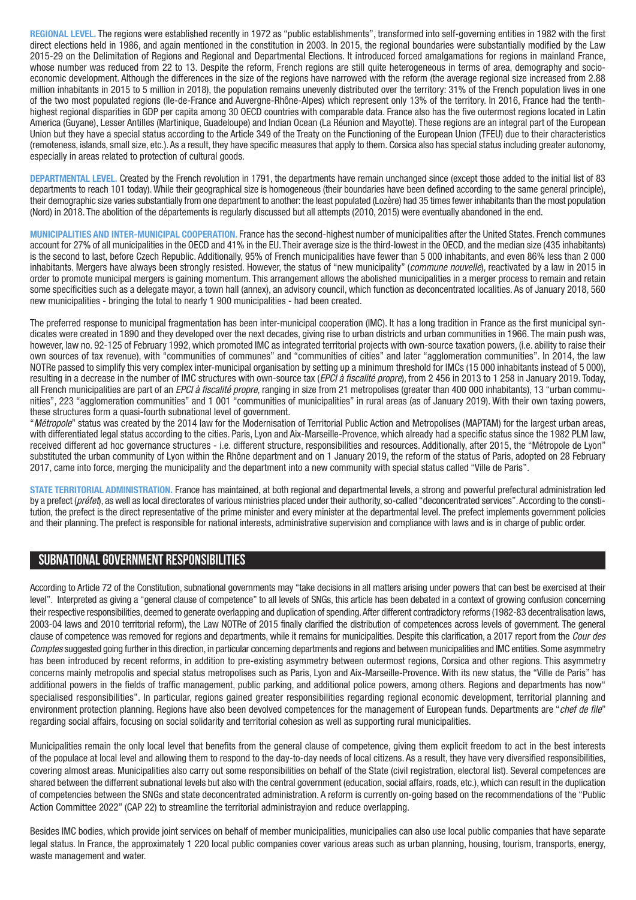**REGIONAL LEVEL.** The regions were established recently in 1972 as "public establishments", transformed into self-governing entities in 1982 with the first direct elections held in 1986, and again mentioned in the constitution in 2003. In 2015, the regional boundaries were substantially modified by the Law 2015-29 on the Delimitation of Regions and Regional and Departmental Elections. It introduced forced amalgamations for regions in mainland France, whose number was reduced from 22 to 13. Despite the reform, French regions are still quite heterogeneous in terms of area, demography and socioeconomic development. Although the differences in the size of the regions have narrowed with the reform (the average regional size increased from 2.88 million inhabitants in 2015 to 5 million in 2018), the population remains unevenly distributed over the territory: 31% of the French population lives in one of the two most populated regions (Ile-de-France and Auvergne-Rhône-Alpes) which represent only 13% of the territory. In 2016, France had the tenthhighest regional disparities in GDP per capita among 30 OECD countries with comparable data. France also has the five outermost regions located in Latin America (Guyane), Lesser Antilles (Martinique, Guadeloupe) and Indian Ocean (La Réunion and Mayotte). These regions are an integral part of the European Union but they have a special status according to the Article 349 of the Treaty on the Functioning of the European Union (TFEU) due to their characteristics (remoteness, islands, small size, etc.).As a result, they have specific measures that apply to them. Corsica also has special status including greater autonomy, especially in areas related to protection of cultural goods.

**DEPARTMENTAL LEVEL.** Created by the French revolution in 1791, the departments have remain unchanged since (except those added to the initial list of 83 departments to reach 101 today). While their geographical size is homogeneous (their boundaries have been defined according to the same general principle), their demographic size varies substantially from one department to another: the least populated (Lozère) had 35 times fewer inhabitants than the most population (Nord) in 2018. The abolition of the départements is regularly discussed but all attempts (2010, 2015) were eventually abandoned in the end.

**MUNICIPALITIES AND INTER-MUNICIPAL COOPERATION.** France has the second-highest number of municipalities after the United States. French communes account for 27% of all municipalities in the OECD and 41% in the EU. Their average size is the third-lowest in the OECD, and the median size (435 inhabitants) is the second to last, before Czech Republic. Additionally, 95% of French municipalities have fewer than 5 000 inhabitants, and even 86% less than 2 000 inhabitants. Mergers have always been strongly resisted. However, the status of "new municipality" (*commune nouvelle*), reactivated by a law in 2015 in order to promote municipal mergers is gaining momentum. This arrangement allows the abolished municipalities in a merger process to remain and retain some specificities such as a delegate mayor, a town hall (annex), an advisory council, which function as deconcentrated localities. As of January 2018, 560 new municipalities - bringing the total to nearly 1 900 municipalities - had been created.

The preferred response to municipal fragmentation has been inter-municipal cooperation (IMC). It has a long tradition in France as the first municipal syndicates were created in 1890 and they developed over the next decades, giving rise to urban districts and urban communities in 1966. The main push was, however, law no. 92-125 of February 1992, which promoted IMC as integrated territorial projects with own-source taxation powers, (i.e. ability to raise their own sources of tax revenue), with "communities of communes" and "communities of cities" and later "agglomeration communities". In 2014, the law NOTRe passed to simplify this very complex inter-municipal organisation by setting up a minimum threshold for IMCs (15 000 inhabitants instead of 5 000), resulting in a decrease in the number of IMC structures with own-source tax (*EPCI à fiscalité propre*), from 2 456 in 2013 to 1 258 in January 2019. Today, all French municipalities are part of an *EPCI à fiscalité propre*, ranging in size from 21 metropolises (greater than 400 000 inhabitants), 13 "urban communities", 223 "agglomeration communities" and 1 001 "communities of municipalities" in rural areas (as of January 2019). With their own taxing powers, these structures form a quasi-fourth subnational level of government.

"*Métropole*" status was created by the 2014 law for the Modernisation of Territorial Public Action and Metropolises (MAPTAM) for the largest urban areas, with differentiated legal status according to the cities. Paris, Lyon and Aix-Marseille-Provence, which already had a specific status since the 1982 PLM law, received different ad hoc governance structures - i.e. different structure, responsibilities and resources. Additionally, after 2015, the "Métropole de Lyon" substituted the urban community of Lyon within the Rhône department and on 1 January 2019, the reform of the status of Paris, adopted on 28 February 2017, came into force, merging the municipality and the department into a new community with special status called "Ville de Paris".

**STATE TERRITORIAL ADMINISTRATION.** France has maintained, at both regional and departmental levels, a strong and powerful prefectural administration led by a prefect (*préfet*), as well as local directorates of various ministries placed under their authority, so-called "deconcentrated services".According to the constitution, the prefect is the direct representative of the prime minister and every minister at the departmental level. The prefect implements government policies and their planning. The prefect is responsible for national interests, administrative supervision and compliance with laws and is in charge of public order.

## **SUBNATIONALGOVERNMENT RESPONSIBILITIES**

According to Article 72 of the Constitution, subnational governments may "take decisions in all matters arising under powers that can best be exercised at their level". Interpreted as giving a "general clause of competence" to all levels of SNGs, this article has been debated in a context of growing confusion concerning their respective responsibilities, deemed to generate overlapping and duplication of spending.After different contradictory reforms (1982-83 decentralisation laws, 2003-04 laws and 2010 territorial reform), the Law NOTRe of 2015 finally clarified the distribution of competences across levels of government. The general clause of competence was removed for regions and departments, while it remains for municipalities. Despite this clarification, a 2017 report from the *Cour des Comptes* suggested going further in this direction, in particular concerning departments and regions and between municipalities and IMC entities. Some asymmetry has been introduced by recent reforms, in addition to pre-existing asymmetry between outermost regions, Corsica and other regions. This asymmetry concerns mainly metropolis and special status metropolises such as Paris, Lyon and Aix-Marseille-Provence. With its new status, the "Ville de Paris" has additional powers in the fields of traffic management, public parking, and additional police powers, among others. Regions and departments has now" specialised responsibilities". In particular, regions gained greater responsibilities regarding regional economic development, territorial planning and environment protection planning. Regions have also been devolved competences for the management of European funds. Departments are "*chef de file*" regarding social affairs, focusing on social solidarity and territorial cohesion as well as supporting rural municipalities.

Municipalities remain the only local level that benefits from the general clause of competence, giving them explicit freedom to act in the best interests of the populace at local level and allowing them to respond to the day-to-day needs of local citizens. As a result, they have very diversified responsibilities, covering almost areas. Municipalities also carry out some responsibilities on behalf of the State (civil registration, electoral list). Several competences are shared between the differrent subnational levels but also with the central government (education, social affairs, roads, etc.),which can result in the duplication of competencies between the SNGs and state deconcentrated administration. A reform is currently on-going based on the recommendations of the "Public Action Committee 2022" (CAP 22) to streamline the territorial administrayion and reduce overlapping.

Besides IMC bodies, which provide joint services on behalf of member municipalities, municipalies can also use local public companies that have separate legal status. In France, the approximately 1 220 local public companies cover various areas such as urban planning, housing, tourism, transports, energy, waste management and water.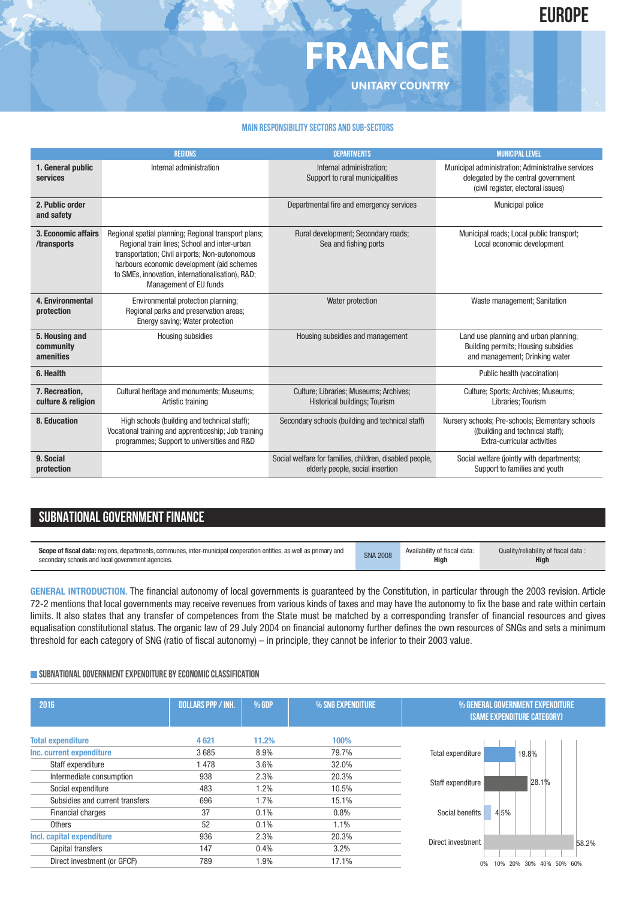

# **FRANC UNITARY COUNTRY**

#### **Main responsibilitysectors and sub-sectors**

|                                          | <b>REGIONS</b>                                                                                                                                                                                                                                                                    | <b>DEPARTMENTS</b>                                                                          | <b>MUNICIPAL LEVEL</b>                                                                                                         |
|------------------------------------------|-----------------------------------------------------------------------------------------------------------------------------------------------------------------------------------------------------------------------------------------------------------------------------------|---------------------------------------------------------------------------------------------|--------------------------------------------------------------------------------------------------------------------------------|
| 1. General public<br>services            | Internal administration                                                                                                                                                                                                                                                           | Internal administration:<br>Support to rural municipalities                                 | Municipal administration; Administrative services<br>delegated by the central government<br>(civil register, electoral issues) |
| 2. Public order<br>and safety            |                                                                                                                                                                                                                                                                                   | Departmental fire and emergency services                                                    | <b>Municipal police</b>                                                                                                        |
| 3. Economic affairs<br>/transports       | Regional spatial planning; Regional transport plans;<br>Regional train lines; School and inter-urban<br>transportation; Civil airports; Non-autonomous<br>harbours economic development (aid schemes<br>to SMEs, innovation, internationalisation), R&D<br>Management of EU funds | Rural development; Secondary roads;<br>Sea and fishing ports                                | Municipal roads; Local public transport;<br>Local economic development                                                         |
| 4. Environmental<br>protection           | Environmental protection planning;<br>Regional parks and preservation areas;<br>Energy saving; Water protection                                                                                                                                                                   | Water protection                                                                            | Waste management; Sanitation                                                                                                   |
| 5. Housing and<br>community<br>amenities | Housing subsidies                                                                                                                                                                                                                                                                 | Housing subsidies and management                                                            | Land use planning and urban planning;<br>Building permits; Housing subsidies<br>and management; Drinking water                 |
| 6. Health                                |                                                                                                                                                                                                                                                                                   |                                                                                             | Public health (vaccination)                                                                                                    |
| 7. Recreation,<br>culture & religion     | Cultural heritage and monuments; Museums;<br>Artistic training                                                                                                                                                                                                                    | Culture; Libraries; Museums; Archives;<br><b>Historical buildings; Tourism</b>              | Culture; Sports; Archives; Museums;<br>Libraries; Tourism                                                                      |
| 8. Education                             | High schools (building and technical staff);<br>Vocational training and apprenticeship; Job training<br>programmes; Support to universities and R&D                                                                                                                               | Secondary schools (building and technical staff)                                            | Nursery schools; Pre-schools; Elementary schools<br>((building and technical staff);<br>Extra-curricular activities            |
| 9. Social<br>protection                  |                                                                                                                                                                                                                                                                                   | Social welfare for families, children, disabled people,<br>elderly people, social insertion | Social welfare (jointly with departments);<br>Support to families and youth                                                    |

# **SUBNATIONAL GOVERNMENT FINANCE**

| Scope of fiscal data: regions, departments, communes, inter-municipal cooperation entities, as well as primary and | <b>SNA 2008</b> | Availability of fiscal data: | Quality/reliability of fiscal data: |
|--------------------------------------------------------------------------------------------------------------------|-----------------|------------------------------|-------------------------------------|
| secondary schools and local government agencies.                                                                   |                 | High                         | <b>High</b>                         |

**GENERAL INTRODUCTION.** The financial autonomy of local governments is guaranteed by the Constitution, in particular through the 2003 revision. Article 72-2 mentions that local governments may receive revenues from various kinds of taxes and may have the autonomy to fix the base and rate within certain limits. It also states that any transfer of competences from the State must be matched by a corresponding transfer of financial resources and gives equalisation constitutional status. The organic law of 29 July 2004 on financial autonomy further defines the own resources of SNGs and sets a minimum threshold for each category of SNG (ratio of fiscal autonomy) – in principle, they cannot be inferior to their 2003 value.

### **SUBNATIONALGOVERNMENTEXPENDITURE BYECONOMICCLASSIFICATION**

| 2016                                                 | <b>DOLLARS PPP / INH.</b> | <b>% GDP</b>  | % SNG EXPENDITURE | % GENERAL GOVERNMENT EXPENDITURE<br><b>(SAME EXPENDITURE CATEGORY)</b> |
|------------------------------------------------------|---------------------------|---------------|-------------------|------------------------------------------------------------------------|
| <b>Total expenditure</b><br>Inc. current expenditure | 4621<br>3685              | 11.2%<br>8.9% | 100%<br>79.7%     |                                                                        |
| Staff expenditure                                    | 1478                      | 3.6%          | 32.0%             | Total expenditure<br>19.8%                                             |
| Intermediate consumption                             | 938                       | 2.3%          | 20.3%             | 28.1%                                                                  |
| Social expenditure                                   | 483                       | 1.2%          | 10.5%             | Staff expenditure                                                      |
| Subsidies and current transfers                      | 696                       | 1.7%          | 15.1%             |                                                                        |
| Financial charges                                    | 37                        | 0.1%          | 0.8%              | Social benefits<br>4.5%                                                |
| <b>Others</b>                                        | 52                        | 0.1%          | 1.1%              |                                                                        |
| Incl. capital expenditure                            | 936                       | 2.3%          | 20.3%             | Direct investment                                                      |
| Capital transfers                                    | 147                       | 0.4%          | 3.2%              | 58.2%                                                                  |
| Direct investment (or GFCF)                          | 789                       | 1.9%          | 17.1%             | 20% 30% 40% 50% 60%<br>10%<br>$0\%$                                    |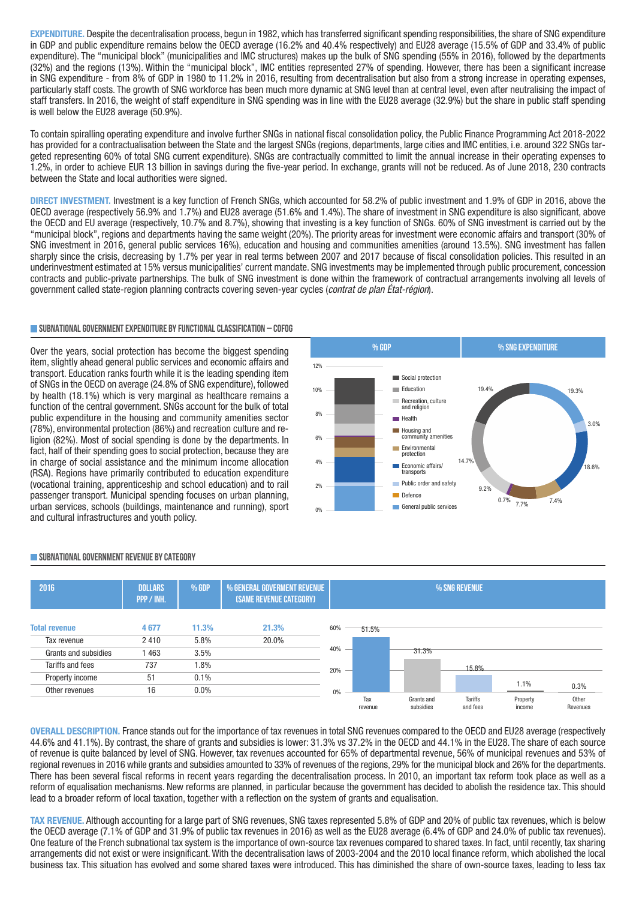**EXPENDITURE.** Despite the decentralisation process, begun in 1982, which has transferred significant spending responsibilities, the share of SNG expenditure in GDP and public expenditure remains below the OECD average (16.2% and 40.4% respectively) and EU28 average (15.5% of GDP and 33.4% of public expenditure). The "municipal block" (municipalities and IMC structures) makes up the bulk of SNG spending (55% in 2016), followed by the departments (32%) and the regions (13%). Within the "municipal block", IMC entities represented 27% of spending. However, there has been a significant increase in SNG expenditure - from 8% of GDP in 1980 to 11.2% in 2016, resulting from decentralisation but also from a strong increase in operating expenses, particularly staff costs. The growth of SNG workforce has been much more dynamic at SNG level than at central level, even after neutralising the impact of staff transfers. In 2016, the weight of staff expenditure in SNG spending was in line with the EU28 average (32.9%) but the share in public staff spending is well below the EU28 average (50.9%).

To contain spiralling operating expenditure and involve further SNGs in national fiscal consolidation policy, the Public Finance Programming Act 2018-2022 has provided for a contractualisation between the State and the largest SNGs (regions, departments, large cities and IMC entities, i.e. around 322 SNGs targeted representing 60% of total SNG current expenditure). SNGs are contractually committed to limit the annual increase in their operating expenses to 1.2%, in order to achieve EUR 13 billion in savings during the five-year period. In exchange, grants will not be reduced. As of June 2018, 230 contracts between the State and local authorities were signed.

**DIRECT INVESTMENT.** Investment is a key function of French SNGs, which accounted for 58.2% of public investment and 1.9% of GDP in 2016, above the OECD average (respectively 56.9% and 1.7%) and EU28 average (51.6% and 1.4%). The share of investment in SNG expenditure is also significant, above the OECD and EU average (respectively, 10.7% and 8.7%), showing that investing is a key function of SNGs. 60% of SNG investment is carried out by the "municipal block", regions and departments having the same weight (20%). The priority areas for investment were economic affairs and transport (30% of SNG investment in 2016, general public services 16%), education and housing and communities amenities (around 13.5%). SNG investment has fallen sharply since the crisis, decreasing by 1.7% per year in real terms between 2007 and 2017 because of fiscal consolidation policies. This resulted in an underinvestment estimated at 15% versus municipalities' current mandate. SNG investments may be implemented through public procurement, concession contracts and public-private partnerships. The bulk of SNG investment is done within the framework of contractual arrangements involving all levels of government called state-region planning contracts covering seven-year cycles (*contrat de plan État-région*).

### **SUBNATIONALGOVERNMENTEXPENDITURE BYFUNCTIONALCLASSIFICATION – COFOG**

Over the years, social protection has become the biggest spending item, slightly ahead general public services and economic affairs and transport. Education ranks fourth while it is the leading spending item of SNGs in the OECD on average (24.8% of SNG expenditure), followed by health (18.1%) which is very marginal as healthcare remains a function of the central government. SNGs account for the bulk of total public expenditure in the housing and community amenities sector (78%), environmental protection (86%) and recreation culture and religion (82%). Most of social spending is done by the departments. In fact, half of their spending goes to social protection, because they are in charge of social assistance and the minimum income allocation (RSA). Regions have primarily contributed to education expenditure (vocational training, apprenticeship and school education) and to rail passenger transport. Municipal spending focuses on urban planning, urban services, schools (buildings, maintenance and running), sport and cultural infrastructures and youth policy.

**SUBNATIONALGOVERNMENT REVENUE BYCATEGORY**



#### **2016 dollars %GDP %generalgoverment revenue PPP / INH.**  $\vert$  (same revenue category)



**OVERALL DESCRIPTION.** France stands out for the importance of tax revenues in total SNG revenues compared to the OECD and EU28 average (respectively 44.6% and 41.1%). By contrast, the share of grants and subsidies is lower: 31.3% vs 37.2% in the OECD and 44.1% in the EU28. The share of each source of revenue is quite balanced by level of SNG. However, tax revenues accounted for 65% of departmental revenue, 56% of municipal revenues and 53% of regional revenues in 2016 while grants and subsidies amounted to 33% of revenues of the regions, 29% for the municipal block and 26% for the departments. There has been several fiscal reforms in recent years regarding the decentralisation process. In 2010, an important tax reform took place as well as a reform of equalisation mechanisms. New reforms are planned, in particular because the government has decided to abolish the residence tax. This should lead to a broader reform of local taxation, together with a reflection on the system of grants and equalisation.

**TAX REVENUE.** Although accounting for a large part of SNG revenues, SNG taxes represented 5.8% of GDP and 20% of public tax revenues, which is below the OECD average (7.1% of GDP and 31.9% of public tax revenues in 2016) as well as the EU28 average (6.4% of GDP and 24.0% of public tax revenues). One feature of the French subnational tax system is the importance of own-source tax revenues compared to shared taxes. In fact, until recently, tax sharing arrangements did not exist or were insignificant. With the decentralisation laws of 2003-2004 and the 2010 local finance reform, which abolished the local business tax. This situation has evolved and some shared taxes were introduced. This has diminished the share of own-source taxes, leading to less tax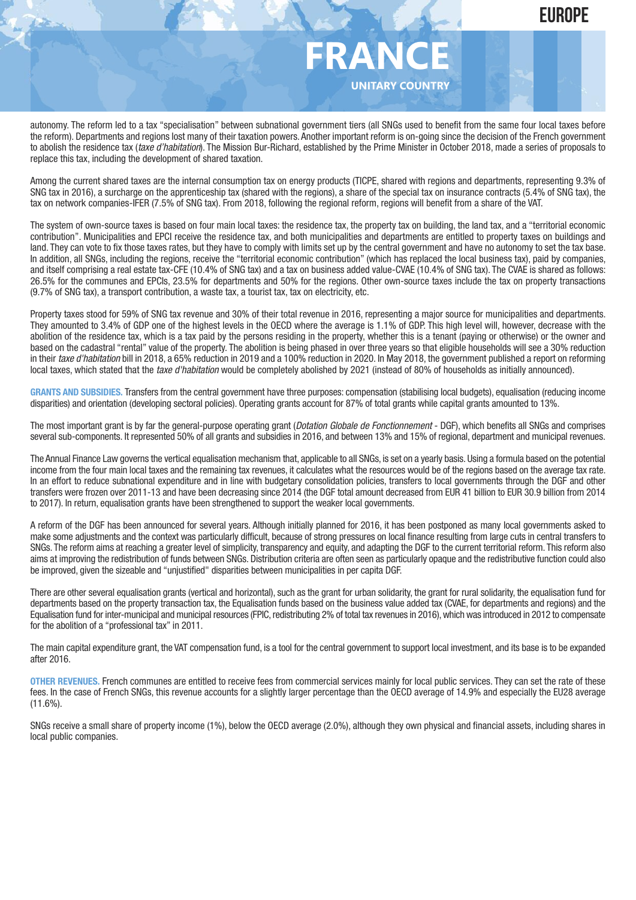

# **FRANCE UNITARY COUNTRY**

autonomy. The reform led to a tax "specialisation" between subnational government tiers (all SNGs used to benefit from the same four local taxes before the reform). Departments and regions lost many of their taxation powers. Another important reform is on-going since the decision of the French government to abolish the residence tax (*taxe d'habitation*). The Mission Bur-Richard, established by the Prime Minister in October 2018, made a series of proposals to replace this tax, including the development of shared taxation.

Among the current shared taxes are the internal consumption tax on energy products (TICPE, shared with regions and departments, representing 9.3% of SNG tax in 2016), a surcharge on the apprenticeship tax (shared with the regions), a share of the special tax on insurance contracts (5.4% of SNG tax), the tax on network companies-IFER (7.5% of SNG tax). From 2018, following the regional reform, regions will benefit from a share of the VAT.

The system of own-source taxes is based on four main local taxes: the residence tax, the property tax on building, the land tax, and a "territorial economic contribution". Municipalities and EPCI receive the residence tax, and both municipalities and departments are entitled to property taxes on buildings and land. They can vote to fix those taxes rates, but they have to comply with limits set up by the central government and have no autonomy to set the tax base. In addition, all SNGs, including the regions, receive the "territorial economic contribution" (which has replaced the local business tax), paid by companies, and itself comprising a real estate tax-CFE (10.4% of SNG tax) and a tax on business added value-CVAE (10.4% of SNG tax). The CVAE is shared as follows: 26.5% for the communes and EPCIs, 23.5% for departments and 50% for the regions. Other own-source taxes include the tax on property transactions (9.7% of SNG tax), a transport contribution, a waste tax, a tourist tax, tax on electricity, etc.

Property taxes stood for 59% of SNG tax revenue and 30% of their total revenue in 2016, representing a major source for municipalities and departments. They amounted to 3.4% of GDP one of the highest levels in the OECD where the average is 1.1% of GDP. This high level will, however, decrease with the abolition of the residence tax, which is a tax paid by the persons residing in the property, whether this is a tenant (paying or otherwise) or the owner and based on the cadastral "rental" value of the property. The abolition is being phased in over three years so that eligible households will see a 30% reduction in their *taxe d'habitation* bill in 2018, a 65% reduction in 2019 and a 100% reduction in 2020. In May 2018, the government published a report on reforming local taxes, which stated that the *taxe d'habitation* would be completely abolished by 2021 (instead of 80% of households as initially announced).

**GRANTS AND SUBSIDIES.** Transfers from the central government have three purposes: compensation (stabilising local budgets), equalisation (reducing income disparities) and orientation (developing sectoral policies). Operating grants account for 87% of total grants while capital grants amounted to 13%.

The most important grant is by far the general-purpose operating grant (*Dotation Globale de Fonctionnement* - DGF), which benefits all SNGs and comprises several sub-components. It represented 50% of all grants and subsidies in 2016, and between 13% and 15% of regional, department and municipal revenues.

The Annual Finance Law governs the vertical equalisation mechanism that, applicable to all SNGs, is set on a yearly basis. Using a formula based on the potential income from the four main local taxes and the remaining tax revenues, it calculates what the resources would be of the regions based on the average tax rate. In an effort to reduce subnational expenditure and in line with budgetary consolidation policies, transfers to local governments through the DGF and other transfers were frozen over 2011-13 and have been decreasing since 2014 (the DGF total amount decreased from EUR 41 billion to EUR 30.9 billion from 2014 to 2017). In return, equalisation grants have been strengthened to support the weaker local governments.

A reform of the DGF has been announced for several years. Although initially planned for 2016, it has been postponed as many local governments asked to make some adjustments and the context was particularly difficult, because of strong pressures on local finance resulting from large cuts in central transfers to SNGs. The reform aims at reaching a greater level of simplicity, transparency and equity, and adapting the DGF to the current territorial reform. This reform also aims at improving the redistribution of funds between SNGs. Distribution criteria are often seen as particularly opaque and the redistributive function could also be improved, given the sizeable and "unjustified" disparities between municipalities in per capita DGF.

There are other several equalisation grants (vertical and horizontal), such as the grant for urban solidarity, the grant for rural solidarity, the equalisation fund for departments based on the property transaction tax, the Equalisation funds based on the business value added tax (CVAE, for departments and regions) and the Equalisation fund for inter-municipal and municipal resources (FPIC, redistributing 2% of total tax revenues in 2016), which was introduced in 2012 to compensate for the abolition of a "professional tax" in 2011.

The main capital expenditure grant, the VAT compensation fund, is a tool for the central government to support local investment, and its base is to be expanded after 2016.

**OTHER REVENUES.** French communes are entitled to receive fees from commercial services mainly for local public services. They can set the rate of these fees. In the case of French SNGs, this revenue accounts for a slightly larger percentage than the OECD average of 14.9% and especially the EU28 average (11.6%).

SNGs receive a small share of property income (1%), below the OECD average (2.0%), although they own physical and financial assets, including shares in local public companies.